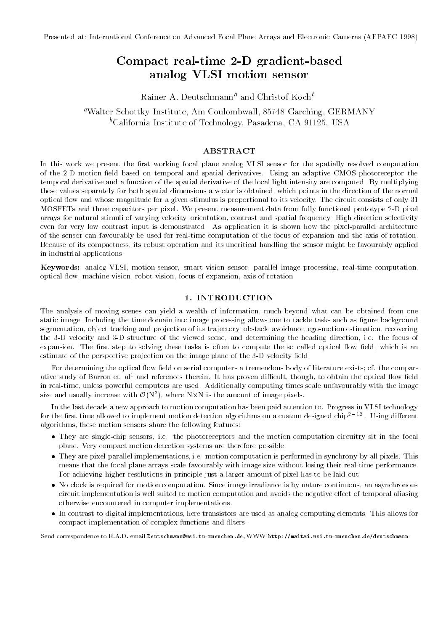# Compact real-time 2-D gradient-basedanalog VLSI motion sensor

Rainer A. Deutschmann<sup>a</sup> and Christof Koch<sup>b</sup>

aWalter Schottky Institute, Am Coulombwall, 85748 Garching, GERMANY <sup>b</sup>California Institute of Technology, Pasadena, CA 91125, USA

# ABSTRACT

In this work we present the first working focal plane analog VLSI sensor for the spatially resolved computation of the 2-D motion field based on temporal and spatial derivatives. Using an adaptive CMOS photoreceptor the temporal derivative and a function of the spatial derivative of the local light intensity are computed. By multiplying these values separately for both spatial dimensions a vector is obtained, which points in the direction of the normal optical 
ow and whose magnitude for a given stimulus is proportional to its velocity. The circuit consists of only 31 MOSFETs and three capacitors per pixel. We present measurement data from fully functional prototype 2-D pixel arrays for natural stimuli of varying velocity, orientation, contrast and spatial frequency. High direction selectivity even for very low contrast input is demonstrated. As application it is shown how the pixel-parallel architecture of the sensor can favourably be used for real-time computation of the focus of expansion and the axis of rotation. Because of its compactness, its robust operation and its uncritical handling the sensor might be favourably applied in industrial applications.

Keywords: analog VLSI, motion sensor, smart vision sensor, parallel image processing, real-time computation, optical flow, machine vision, robot vision, focus of expansion, axis of rotation

#### 1. INTRODUCTION

The analysis of moving scenes can yield a wealth of information, much beyond what can be obtained from one static image. Including the time domain into image processing allows one to tackle tasks such as figure background segmentation, object tracking and projection of its trajectory, obstacle avoidance, ego-motion estimation, recovering the 3-D velocity and 3-D structure of the viewed scene, and determining the heading direction, i.e. the focus of expansion. The first step to solving these tasks is often to compute the so called optical flow field, which is an estimate of the perspective projection on the image plane of the 3-D velocity field.

For determining the optical flow field on serial computers a tremendous body of literature exists; cf. the comparative study of Barron et. al<sup>1</sup> and references therein. It has proven difficult, though, to obtain the optical flow field in real-time, unless powerful computers are used. Additionally computing times scale unfavourably with the image size and usually increase with  $U(N^{\ast})$ , where NXN is the amount of image pixels.

In the last decade a new approach to motion computation has been paid attention to. Progress in VLSI technology for the first time allowed to implement motion detection algorithms on a custom designed chip<sup>2-12</sup>. Using different algorithms, these motion sensors share the following features:

- They are single-chip sensors, i.e. the photoreceptors and the motion computation circuitry sit in the focal plane. Very compact motion detection systems are therefore possible.
- They are pixel-parallel implementations, i.e. motion computation is performed in synchrony by all pixels. This means that the focal plane arrays scale favourably with image size without losing their real-time performance. For achieving higher resolutions in principle just a larger amount of pixel has to be laid out.
- No clock is required for motion computation. Since image irradiance is by nature continuous, an asynchronous circuit implementation is well suited to motion computation and avoids the negative effect of temporal aliasing otherwise encountered in computer implementations.
- In contrast to digital implementations, here transistors are used as analog computing elements. This allows for compact implementation of complex functions and filters.

Send correspondence to R.A.D. email Deutschmann@wsi.tu-muenchen.de, WWW http://maitai.wsi.tu-muenchen.de/deutschmann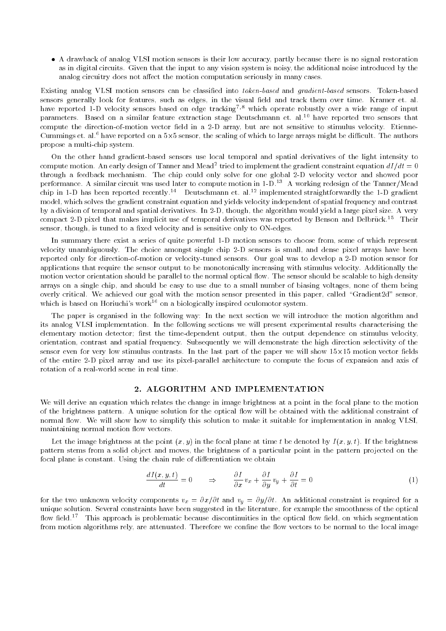A drawback of analog VLSI motion sensors is their low accuracy, partly because there is no signal restoration as in digital circuits. Given that the input to any vision system is noisy, the additional noise introduced by the analog circuitry does not affect the motion computation seriously in many cases.

Existing analog VLSI motion sensors can be classied into token-based and gradient-based sensors. Token-based sensors generally look for features, such as edges, in the visual field and track them over time. Kramer et. al. have reported 1-D velocity sensors based on edge tracking<sup>7,8</sup> which operate robustly over a wide range of input parameters. Based on a similar feature extraction stage Deutschmann et. al.<sup>10</sup> have reported two sensors that compute the direction-of-motion vector field in a 2-D array, but are not sensitive to stimulus velocity. Etienne-Uummings et. al.f have reported on a 5x5 sensor, the scaling of which to large arrays might be difficult. The authors propose a multi-chip system.

On the other hand gradient-based sensors use local temporal and spatial derivatives of the light intensity to compute motion. An early design of Tanner and Mead2 tried to implement the gradient constraint equation  $aI/at\equiv 0$ through a feedback mechanism. The chip could only solve for one global 2-D velocity vector and showed poor performance. A similar circuit was used later to compute motion in 1-D.<sup>13</sup> A working redesign of the Tanner/Mead chip in 1-D has been reported recently.<sup>14</sup> Deutschmann et. al.<sup>12</sup> implemented straightforwardly the 1-D gradient model, which solves the gradient constraint equation and yields velocity independent of spatial frequency and contrast by a division of temporal and spatial derivatives. In 2-D, though, the algorithm would yield a large pixel size. A very compact 2-D pixel that makes implicit use of temporal derivatives was reported by Benson and Delbrück.<sup>15</sup> Their sensor, though, is tuned to a fixed velocity and is sensitive only to ON-edges.

In summary there exist a series of quite powerful 1-D motion sensors to choose from, some of which represent velocity unambiguously. The choice amongst single chip 2-D sensors is small, and dense pixel arrays have been reported only for direction-of-motion or velocity-tuned sensors. Our goal was to develop a 2-D motion sensor for applications that require the sensor output to be monotonically increasing with stimulus velocity. Additionally the motion vector orientation should be parallel to the normal optical flow. The sensor should be scalable to high density arrays on a single chip, and should be easy to use due to a small number of biasing voltages, none of them being overly critical. We achieved our goal with the motion sensor presented in this paper, called \Gradient2d" sensor, which is based on Horiuchi's work<sup>16</sup> on a biologically inspired oculomotor system.

The paper is organised in the following way: In the next section we will introduce the motion algorithm and its analog VLSI implementation. In the following sections we will present experimental results characterising the elementary motion detector; first the time-dependent output, then the output dependence on stimulus velocity, orientation, contrast and spatial frequency. Subsequently we will demonstrate the high direction selectivity of the sensor even for very low stimulus contrasts. In the last part of the paper we will show 15-15 motion vector elds of the entire 2-D pixel array and use its pixel-parallel architecture to compute the focus of expansion and axis of rotation of a real-world scene in real time.

### 2. ALGORITHM AND IMPLEMENTATION

We will derive an equation which relates the change in image brightness at a point in the focal plane to the motion of the brightness pattern. A unique solution for the optical flow will be obtained with the additional constraint of normal flow. We will show how to simplify this solution to make it suitable for implementation in analog VLSI, maintaining normal motion flow vectors.

Let the image brightness at the point  $(x, y)$  in the focal plane at time t be denoted by  $I(x, y, t)$ . If the brightness pattern stems from a solid object and moves, the brightness of a particular point in the pattern projected on the focal plane is constant. Using the chain rule of differentiation we obtain

$$
\frac{dI(x,y,t)}{dt} = 0 \qquad \Rightarrow \qquad \frac{\partial I}{\partial x}v_x + \frac{\partial I}{\partial y}v_y + \frac{\partial I}{\partial t} = 0 \tag{1}
$$

for the two unknown velocity components  $v_x = \frac{\partial x}{\partial t}$  and  $v_y = \frac{\partial y}{\partial t}$ . An additional constraint is required for a unique solution. Several constraints have been suggested in the literature, for example the smoothness of the optical flow field.<sup>17</sup> This approach is problematic because discontinuities in the optical flow field, on which segmentation from motion algorithms rely, are attenuated. Therefore we confine the flow vectors to be normal to the local image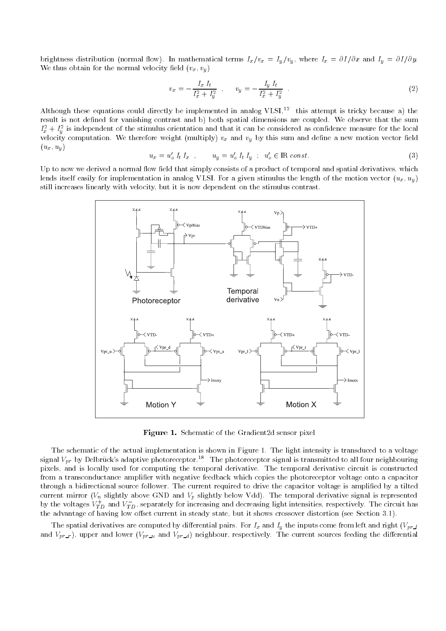brightness distribution (normal flow). In mathematical terms  $I_x/v_x = I_y/v_y$ , where  $I_x = \partial I/\partial x$  and  $I_y = \partial I/\partial y$ . We thus obtain for the normal velocity field  $(v_x, v_y)$ 

$$
v_x = -\frac{I_x I_t}{I_x^2 + I_y^2} \quad , \qquad v_y = -\frac{I_y I_t}{I_x^2 + I_y^2} \quad . \tag{2}
$$

Although these equations could directly be implemented in analog  $VLSI$ ,<sup>12</sup> this attempt is tricky because a) the result is not defined for vanishing contrast and b) both spatial dimensions are coupled. We observe that the sum  $T_x + T_y$  is independent of the stimulus orientation and that it can be considered as confidence measure for the local velocity computation. We therefore weight (multiply)  $v_x$  and  $v_y$  by this sum and define a new motion vector field  $(u_x, u_y)$ 

$$
u_x = u'_o I_t I_x , \t u_y = u'_o I_t I_y ; \t u'_o \in \mathbb{R} \text{ const.}
$$
\n
$$
(3)
$$

Up to now we derived a normal flow field that simply consists of a product of temporal and spatial derivatives, which lends itself easily for implementation in analog VLSI. For a given stimulus the length of the motion vector  $(u_x, u_y)$ still increases linearly with velocity, but it is now dependent on the stimulus contrast.



Figure 1. Schematic of the Gradient2d sensor pixel

The schematic of the actual implementation is shown in Figure 1. The light intensity is transduced to a voltage signal  $V_{pr}$  by Delbrück's adaptive photoreceptor.<sup>18</sup> The photoreceptor signal is transmitted to all four neighbouring pixels, and is locally used for computing the temporal derivative. The temporal derivative circuit is constructed from a transconductance amplier with negative feedback which copies the photoreceptor voltage onto a capacitor through a bidirectional source follower. The current required to drive the capacitor voltage is amplified by a tilted by the voltages  $V_{TD}^+$  and  $V_{TD}^-$ , separately for increasing and decreasing light intensities, respectively. The circuit has the advantage of having low offset current in steady state, but it shows crossover distortion (see Section 3.1).

The spatial derivatives are computed by differential pairs. For  $I_x$  and  $I_y$  the inputs come from left and right  $(V_{pr}\_1)$ and  $V_{pr,r}$ ), upper and lower  $(V_{pr-u}$  and  $V_{pr-d}$ ) neighbour, respectively. The current sources feeding the differential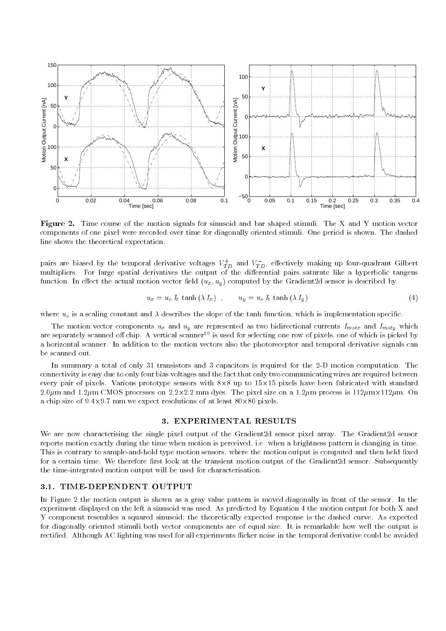

 $\bf r$  igure  $\bf z$ . This course of the motion signals for sinusoid and bar shaped stimuli. The  $\Lambda$  and T motion vector components of one pixel were recorded over time for diagonally oriented stimuli. One period is shown. The dashed line shows the theoretical expectation.

pairs are blased by the temporal derivative voltages  $V_{TD}^-$  and  $V_{TD}$ , effectively making up four-quadrant Gilbert multipliers. For large spatial derivatives the output of the dierential pairs saturate likeahyperbolic tangens function. In effect the actual motion vector field  $(u_x, u_y)$  computed by the Gradient2d sensor is described by

$$
u_x = u_o I_t \tanh(\lambda I_x) , \qquad u_y = u_o I_t \tanh(\lambda I_y)
$$
\n
$$
\tag{4}
$$

where  $u_o$  is a scaling constant and  $\lambda$  describes the slope of the tanh function, which is implementation specific.

The motion vector components  $u_x$  and  $u_y$  are represented as two bidirectional currents  $I_{motx}$  and  $I_{moty}$  which are separately scanned off chip. A vertical scanner<sup>19</sup> is used for selecting one row of pixels, one of which is picked by a horizontal scanner. In addition to the motion vectors also the photoreceptor and temporal derivative signals can be scanned out.

In summary a total of only 31 transistors and 3 capacitors is required for the 2-D motion computation. The connectivity is easy due to only four bias voltages and the fact that only two communicating wires are required between every pair of pixels. Various prototype sensors with 8-8 up to 15-15 pixels have been fabricated with standard 2.0 m dyes. The pixel size on pixel size on 2.2.1.2.2 mm dyes. The pixel size on a 12 may be a 12m process is 1 a chip size of 9.4-9.7 mm we expect resolutions of at least 80-80 pixels.

#### 3. EXPERIMENTAL RESULTS

We are now characterising the single pixel output of the Gradient2d sensor pixel array. The Gradient2d sensor reports motion exactly during the time when motion is perceived, i.e. when a brightness pattern is changing in time. This is contrary to sample-and-hold type motion sensors, where the motion output is computed and then held fixed for a certain time. We therefore first look at the transient motion output of the Gradient2d sensor. Subsequently the time-integrated motion output will be used for characterisation.

#### 3.1. TIME-DEPENDENT OUTPUT

In Figure 2 the motion output is shown as a gray value pattern is moved diagonally in front of the sensor. In the experiment displayed on the left a sinusoid was used. As predicted by Equation 4 the motion output for both X and Y component resembles a squared sinusoid; the theoretically expected response is the dashed curve. As expected for diagonally oriented stimuli both vector components are of equal size. It is remarkable how well the output is rectified. Although AC lighting was used for all experiments flicker noise in the temporal derivative could be avoided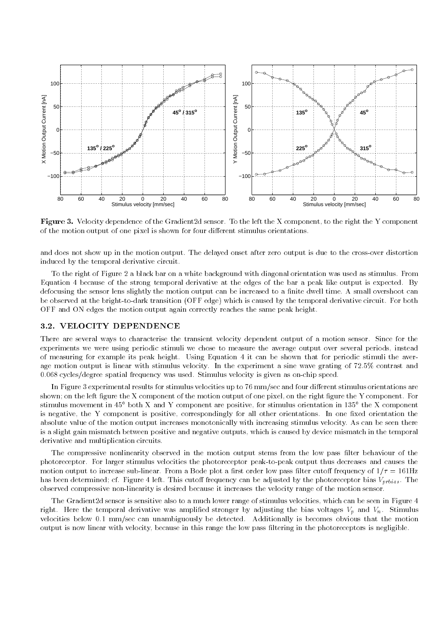

Figure 3. Velocity dependence of the Gradient2d sensor. To the left the X component, to the right the Y component of the motion output of one pixel is shown for four different stimulus orientations.

and does not show up in the motion output. The delayed onset after zero output is due to the cross-over distortion induced by the temporal derivative circuit.

To the right of Figure 2 a black bar on a white background with diagonal orientation was used as stimulus. From Equation 4 because of the strong temporal derivative at the edges of the bar a peak like output is expected. By defocusing the sensor lens slightly the motion output can be increased to a finite dwell time. A small overshoot can be observed at the bright-to-dark transition (OFF edge) which is caused by the temporal derivative circuit. For both OFF and ON edges the motion output again correctly reaches the same peak height.

# 3.2. VELOCITY DEPENDENCE

There are several ways to characterise the transient velocity dependent output of a motion sensor. Since for the experiments we were using periodic stimuli we chose to measure the average output over several periods, instead of measuring for example its peak height. Using Equation 4 it can be shown that for periodic stimuli the average motion output is linear with stimulus velocity. In the experiment a sine wave grating of 72.5% contrast and 0.068 cycles/degree spatial frequency was used. Stimulus velocity is given as on-chip speed.

In Figure 3 experimental results for stimulus velocities up to 76 mm/sec and four different stimulus orientations are shown; on the left figure the X component of the motion output of one pixel, on the right figure the Y component. For stimulus movement in 45° both  $\Lambda$  and  $\Lambda$  component are positive, for stimulus orientation in 155° the  $\Lambda$  component is negative, the Y component is positive, correspondingly for all other orientations. In one fixed orientation the absolute value of the motion output increases monotonically with increasing stimulus velocity. As can be seen there is a slight gain mismatch between positive and negative outputs, which is caused by device mismatch in the temporal derivative and multiplication circuits.

The compressive nonlinearity observed in the motion output stems from the low pass filter behaviour of the photoreceptor. For larger stimulus velocities the photoreceptor peak-to-peak output thus decreases and causes the motion output to increase sub-linear. From a Bode plot a first order low pass filter cutoff frequency of  $1/\tau = 161\text{Hz}$ has been determined; cf. Figure 4 left. This cutoff frequency can be adjusted by the photoreceptor bias  $V_{nthis}$ . The observed compressive non-linearity is desired because it increases the velocity range of the motion sensor.

The Gradient2d sensor is sensitive also to a much lower range of stimulus velocities, which can be seen in Figure 4 right. Here the temporal derivative was amplified stronger by adjusting the bias voltages  $V_p$  and  $V_n$ . Stimulus velocities below 0.1 mm/sec can unambiguously be detected. Additionally is becomes obvious that the motion output is now linear with velocity, because in this range the low pass ltering in the photoreceptors is negligible.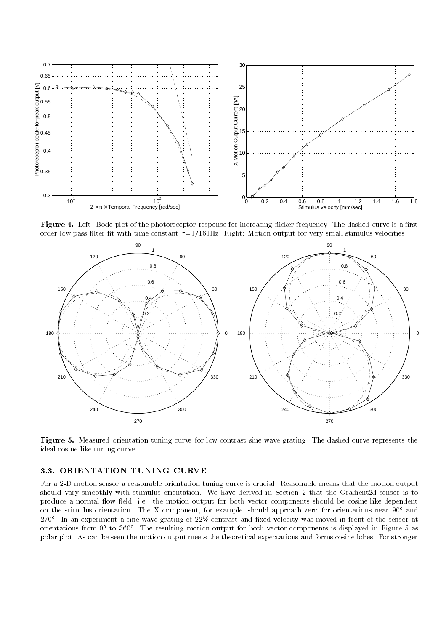

 ${\bf r}$  igure  ${\bf r}$ . Left: Doue plot of the photoreceptor response for increasing meacr frequency. The dashed curve is a mist order low pass filter fit with time constant  $\tau=1/161\text{Hz}$ . Right: Motion output for very small stimulus velocities.



Figure 5. Measured orientation tuning curve for low contrast sine wave grating. The dashed curve represents the ideal cosine like tuning curve.

#### 3.3. ORIENTATION TUNING CURVE

For a 2-D motion sensor a reasonable orientation tuning curve is crucial. Reasonable means that the motion output should vary smoothly with stimulus orientation. We have derived in Section 2 that the Gradient2d sensor is to produce a normal flow field, i.e. the motion output for both vector components should be cosine-like dependent on the stimulus orientation. The X component, for example, should approach zero for orientations near 90<sup>°</sup> and 270 . In an experiment a sine wave grating of 22% contrast and xed velocity was moved in front of the sensor at orientations from 0° to 300°. The resulting motion output for both vector components is displayed in Figure 5 as polar plot. As can be seen the motion output meets the theoretical expectations and forms cosine lobes. For stronger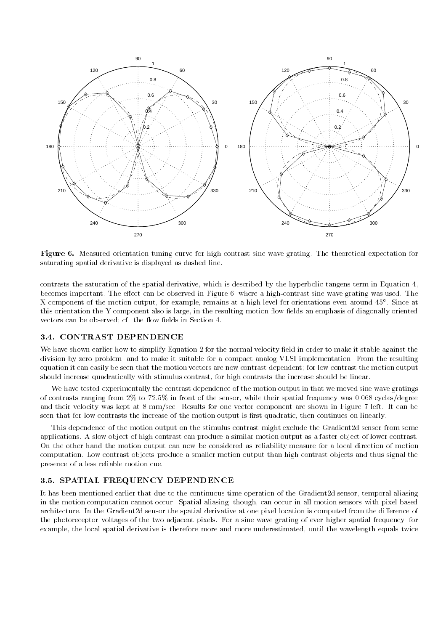

Figure 6. Measured orientation tuning curve for high contrast sine wave grating. The theoretical expectation for saturating spatial derivative is displayed as dashed line.

contrasts the saturation of the spatial derivative, which is described by the hyperbolic tangens term in Equation 4, becomes important. The effect can be observed in Figure 6, where a high-contrast sine wave grating was used. The X component of the motion output, for example, remains at a high level for orientations even around 45 . Since at this orientation the Y component also is large, in the resulting motion flow fields an emphasis of diagonally oriented vectors can be observed; cf. the flow fields in Section 4.

#### 3.4. CONTRAST DEPENDENCE

We have shown earlier how to simplify Equation 2 for the normal velocity field in order to make it stable against the division by zero problem, and to make it suitable for a compact analog VLSI implementation. From the resulting equation it can easily be seen that the motion vectors are now contrast dependent; for low contrast the motion output should increase quadratically with stimulus contrast, for high contrasts the increase should be linear.

We have tested experimentally the contrast dependence of the motion output in that we moved sine wave gratings of contrasts ranging from 2% to 72.5% in front of the sensor, while their spatial frequency was 0.068 cycles/degree and their velocity was kept at 8 mm/sec. Results for one vector component are shown in Figure 7 left. It can be seen that for low contrasts the increase of the motion output is first quadratic, then continues on linearly.

This dependence of the motion output on the stimulus contrast might exclude the Gradient2d sensor from some applications. A slow object of high contrast can produce a similar motion output as a faster object of lower contrast. On the other hand the motion output can now be considered as reliability measure for a local direction of motion computation. Low contrast objects produce a smaller motion output than high contrast objects and thus signal the presence of a less reliable motion cue.

### 3.5. SPATIAL FREQUENCY DEPENDENCE

It has been mentioned earlier that due to the continuous-time operation of the Gradient2d sensor, temporal aliasing in the motion computation cannot occur. Spatial aliasing, though, can occur in all motion sensors with pixel based architecture. In the Gradient2d sensor the spatial derivative at one pixel location is computed from the difference of the photoreceptor voltages of the two adjacent pixels. For a sine wave grating of ever higher spatial frequency, for example, the local spatial derivative is therefore more and more underestimated, until the wavelength equals twice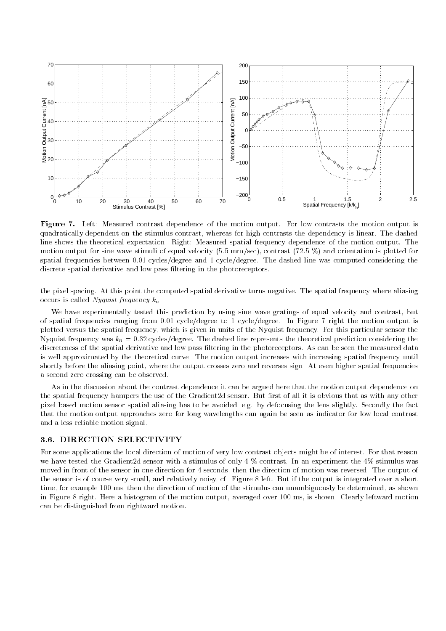

Figure 7. Left: Measured contrast dependence of the motion output. For low contrasts the motion output is quadratically dependent on the stimulus contrast, whereas for high contrasts the dependency is linear. The dashed line shows the theoretical expectation. Right: Measured spatial frequency dependence of the motion output. The motion output for sine wave stimuli of equal velocity (5.5 mm/sec), contrast (72.5 %) and orientation is plotted for spatial frequencies between 0.01 cycles/degree and 1 cycle/degree. The dashed line was computed considering the discrete spatial derivative and low pass ltering in the photoreceptors.

the pixel spacing. At this point the computed spatial derivative turns negative. The spatial frequency where aliasing occurs is called Nyquist frequency  $k_n$ .

We have experimentally tested this prediction by using sine wave gratings of equal velocity and contrast, but of spatial frequencies ranging from 0.01 cycle/degree to 1 cycle/degree. In Figure 7 right the motion output is plotted versus the spatial frequency, which is given in units of the Nyquist frequency. For this particular sensor the Nyquist frequency was  $k_n = 0.32$  cycles/degree. The dashed line represents the theoretical prediction considering the discreteness of the spatial derivative and low pass ltering in the photoreceptors. As can be seen the measured data is well approximated by the theoretical curve. The motion output increases with increasing spatial frequency until shortly before the aliasing point, where the output crosses zero and reverses sign. At even higher spatial frequencies a second zero crossing can be observed.

As in the discussion about the contrast dependence it can be argued here that the motion output dependence on the spatial frequency hampers the use of the Gradient2d sensor. But first of all it is obvious that as with any other pixel based motion sensor spatial aliasing has to be avoided, e.g. by defocusing the lens slightly. Secondly the fact that the motion output approaches zero for long wavelengths can again be seen as indicator for low local contrast and a less reliable motion signal.

For some applications the local direction of motion of very low contrast objects might be of interest. For that reason we have tested the Gradient2d sensor with a stimulus of only 4 % contrast. In an experiment the 4% stimulus was moved in front of the sensor in one direction for 4 seconds, then the direction of motion was reversed. The output of the sensor is of course very small, and relatively noisy, cf. Figure 8 left. But if the output is integrated over a short time, for example 100 ms, then the direction of motion of the stimulus can unambiguously be determined, as shown in Figure 8 right. Here a histogram of the motion output, averaged over 100 ms, is shown. Clearly leftward motion can be distinguished from rightward motion.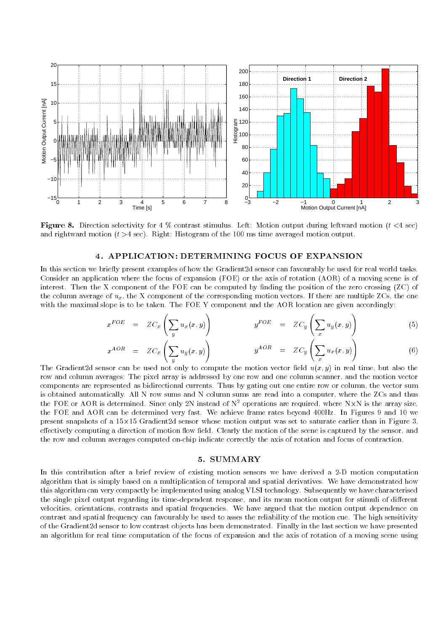

Figure 8. Direction selectivity for 4 % contrast stimulus. Left: Motion output during leftward motion (t <4 sec) and rightward motion  $(t > 4 \text{ sec})$ . Right: Histogram of the 100 ms time averaged motion output.

#### 4. APPLICATION: DETERMINING FOCUS OF EXPANSION

In this section we briefly present examples of how the Gradient2d sensor can favourably be used for real world tasks. Consider an application where the focus of expansion (FOE) or the axis of rotation (AOR) of a moving scene is of interest. Then the X component of the FOE can be computed by finding the position of the zero crossing (ZC) of the column average of  $u_x$ , the X component of the corresponding motion vectors. If there are multiple ZCs, the one with the maximal slope is to be taken. The FOE Y component and the AOR location are given accordingly:

$$
x^{FOE} = ZC_x \left( \sum_y u_x(x, y) \right) \qquad y^{FOE} = ZC_y \left( \sum_x u_y(x, y) \right) \qquad (5)
$$

$$
x^{AOR} = ZC_x \left( \sum_y u_y(x, y) \right) \qquad y^{AOR} = ZC_y \left( \sum_x u_x(x, y) \right) \qquad (6)
$$

The Gradient 2d sensor can be used not only to compute the motion vector field  $u(x, y)$  in real time, but also the row and column averages: The pixel array is addressed by one row and one column scanner, and the motion vector components are represented as bidirectional currents. Thus by gating out one entire row or column, the vector sum is obtained automatically. All N row sums and N column sums are read into a computer, where the ZCs and thus the FOE or AOR is determined. Since only 2N instead of N<sup>2</sup> operations are required, where N-N is the array size, the FOE and AOR can be determined very fast. We achieve frame rates beyond 400Hz. In Figures 9 and 10 we present snapshots of a decided sensoring a sensor whose motion output was set to saturate entropy and in Figure effectively computing a direction of motion flow field. Clearly the motion of the scene is captured by the sensor, and the row and column averages computed on-chip indicate correctly the axis of rotation and focus of contraction.

#### 5. SUMMARY

In this contribution after a brief review of existing motion sensors we have derived a 2-D motion computation algorithm that is simply based on a multiplication of temporal and spatial derivatives. We have demonstrated how this algorithm can very compactly be implemented using analog VLSI technology. Subsequently we have characterised the single pixel output regarding its time-dependent response, and its mean motion output for stimuli of different velocities, orientations, contrasts and spatial frequencies. We have argued that the motion output dependence on contrast and spatial frequency can favourably be used to asses the reliability of the motion cue. The high sensitivity of the Gradient2d sensor to low contrast objects has been demonstrated. Finally in the last section we have presented an algorithm for real time computation of the focus of expansion and the axis of rotation of a moving scene using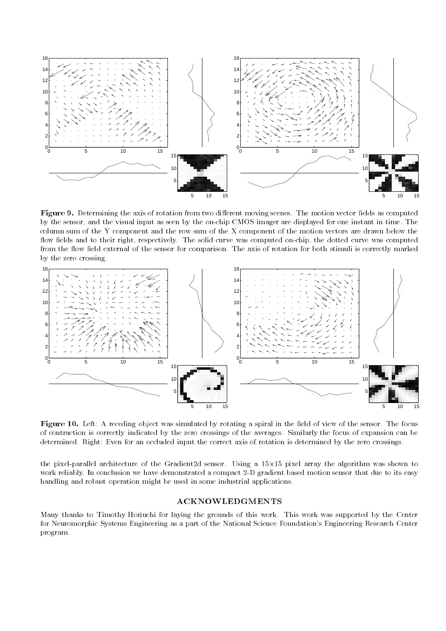

Figure 9. Determining the axis of rotation from two dierent moving scenes. The motion vector elds as computed by the sensor, and the visual input as seen by the on-chip CMOS imager are displayed for one instant in time. The column sum of the Y component and the row sum of the X component of the motion vectors are drawn below the flow fields and to their right, respectively. The solid curve was computed on-chip, the dotted curve was computed from the flow field external of the sensor for comparison. The axis of rotation for both stimuli is correctly marked by the zero crossing.



Figure 10. Left: A receding object was simulated by rotating a spiral in the eld of view of the sensor. The focus of contraction is correctly indicated by the zero crossings of the averages. Similarly the focus of expansion can be determined. Right: Even for an occluded input the correct axis of rotation is determined by the zero crossings.

the pixel-parallel architecture of the Gradient2d sensor. Using a 15-15 pixel array the algorithm was shown to work reliably. In conclusion we have demonstrated a compact 2-D gradient based motion sensor that due to its easy handling and robust operation might be used in some industrial applications.

#### ACKNOWLEDGMENTS

Many thanks to Timothy Horiuchi for laying the grounds of this work. This work was supported by the Center for Neuromorphic Systems Engineering as a part of the National Science Foundation's Engineering Research Center program.